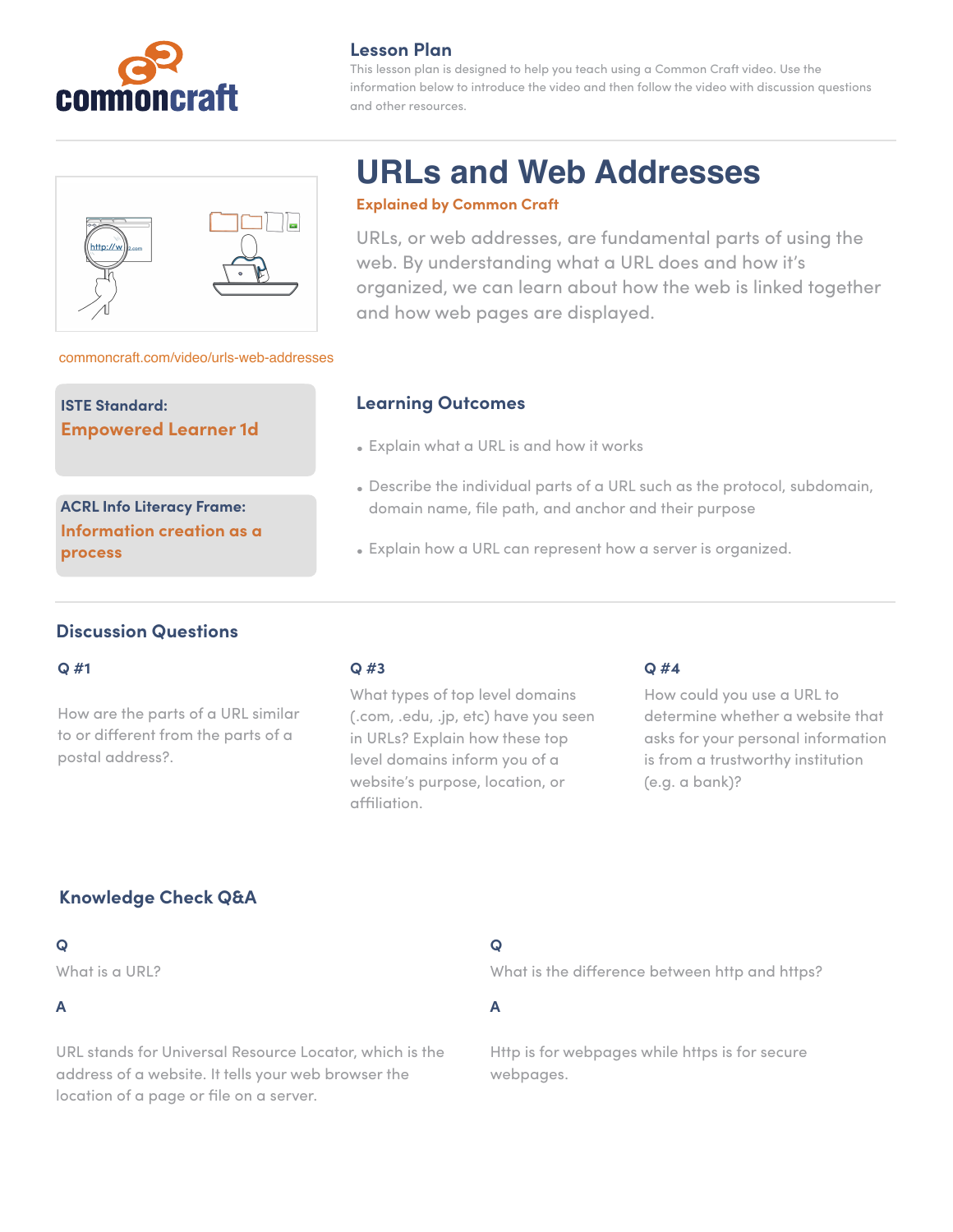

#### **Lesson Plan**

This lesson plan is designed to help you teach using a Common Craft video. Use the information below to introduce the video and then follow the video with discussion questions and other resources.

#### [commoncraft.com/video/urls-web-addresses](http://commoncraft.com/video/urls-web-addresses)

**ISTE Standard: Empowered Learner 1d**

**ACRL Info Literacy Frame: Information creation as a process**

# **URLs and Web Addresses**

#### **Explained by Common Craft**

URLs, or web addresses, are fundamental parts of using the web. By understanding what a URL does and how it's organized, we can learn about how the web is linked together and how web pages are displayed.

#### **Learning Outcomes**

- Explain what a URL is and how it works
- Describe the individual parts of a URL such as the protocol, subdomain, domain name, file path, and anchor and their purpose
- Explain how a URL can represent how a server is organized.

#### **Discussion Questions**

#### **Q #1**

How are the parts of a URL similar to or different from the parts of a postal address?.

#### **Q #3**

What types of top level domains (.com, .edu, .jp, etc) have you seen in URLs? Explain how these top level domains inform you of a website's purpose, location, or affiliation.

#### **Q #4**

How could you use a URL to determine whether a website that asks for your personal information is from a trustworthy institution (e.g. a bank)?

# **Knowledge Check Q&A**

#### **Q**

What is a URL?

#### **A**

URL stands for Universal Resource Locator, which is the address of a website. It tells your web browser the location of a page or file on a server.

### **Q**

What is the difference between http and https?

**A** 

Http is for webpages while https is for secure webpages.